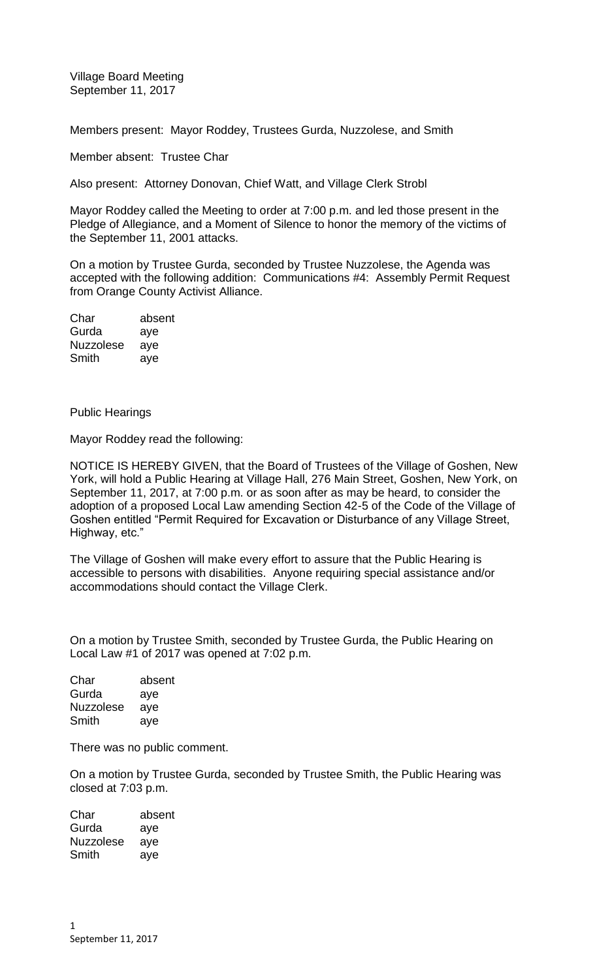Village Board Meeting September 11, 2017

Members present: Mayor Roddey, Trustees Gurda, Nuzzolese, and Smith

Member absent: Trustee Char

Also present: Attorney Donovan, Chief Watt, and Village Clerk Strobl

Mayor Roddey called the Meeting to order at 7:00 p.m. and led those present in the Pledge of Allegiance, and a Moment of Silence to honor the memory of the victims of the September 11, 2001 attacks.

On a motion by Trustee Gurda, seconded by Trustee Nuzzolese, the Agenda was accepted with the following addition: Communications #4: Assembly Permit Request from Orange County Activist Alliance.

Char absent Gurda aye Nuzzolese aye Smith aye

Public Hearings

Mayor Roddey read the following:

NOTICE IS HEREBY GIVEN, that the Board of Trustees of the Village of Goshen, New York, will hold a Public Hearing at Village Hall, 276 Main Street, Goshen, New York, on September 11, 2017, at 7:00 p.m. or as soon after as may be heard, to consider the adoption of a proposed Local Law amending Section 42-5 of the Code of the Village of Goshen entitled "Permit Required for Excavation or Disturbance of any Village Street, Highway, etc."

The Village of Goshen will make every effort to assure that the Public Hearing is accessible to persons with disabilities. Anyone requiring special assistance and/or accommodations should contact the Village Clerk.

On a motion by Trustee Smith, seconded by Trustee Gurda, the Public Hearing on Local Law #1 of 2017 was opened at 7:02 p.m.

| Char             | absent |
|------------------|--------|
| Gurda            | aye    |
| <b>Nuzzolese</b> | aye    |
| Smith            | ave    |

There was no public comment.

On a motion by Trustee Gurda, seconded by Trustee Smith, the Public Hearing was closed at 7:03 p.m.

| Char             | absent |
|------------------|--------|
| Gurda            | aye    |
| <b>Nuzzolese</b> | aye    |
| Smith            | aye    |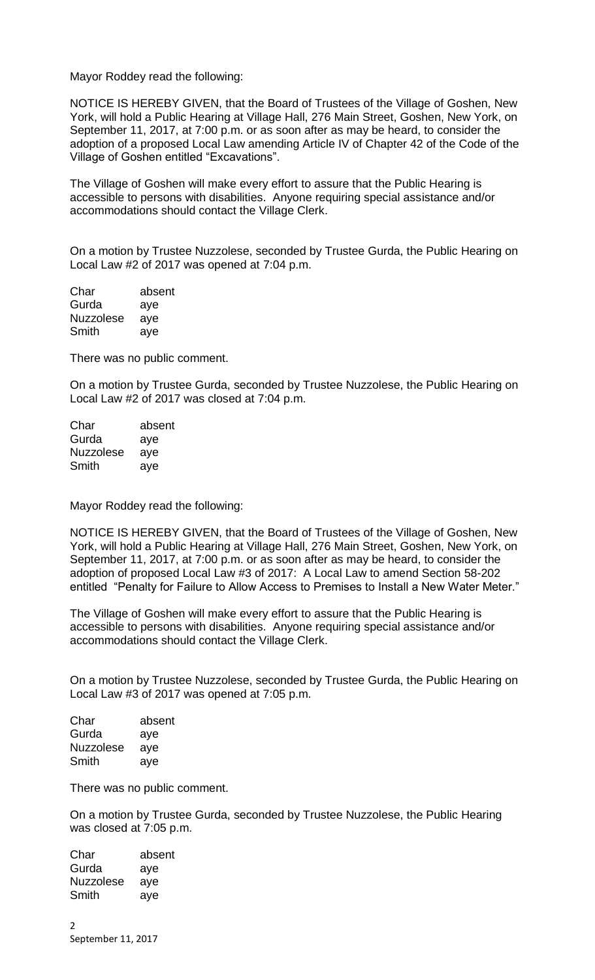Mayor Roddey read the following:

NOTICE IS HEREBY GIVEN, that the Board of Trustees of the Village of Goshen, New York, will hold a Public Hearing at Village Hall, 276 Main Street, Goshen, New York, on September 11, 2017, at 7:00 p.m. or as soon after as may be heard, to consider the adoption of a proposed Local Law amending Article IV of Chapter 42 of the Code of the Village of Goshen entitled "Excavations".

The Village of Goshen will make every effort to assure that the Public Hearing is accessible to persons with disabilities. Anyone requiring special assistance and/or accommodations should contact the Village Clerk.

On a motion by Trustee Nuzzolese, seconded by Trustee Gurda, the Public Hearing on Local Law #2 of 2017 was opened at 7:04 p.m.

| Char             | absent |
|------------------|--------|
| Gurda            | aye    |
| <b>Nuzzolese</b> | aye    |
| Smith            | aye    |

There was no public comment.

On a motion by Trustee Gurda, seconded by Trustee Nuzzolese, the Public Hearing on Local Law #2 of 2017 was closed at 7:04 p.m.

| Char             | absent |
|------------------|--------|
| Gurda            | aye    |
| <b>Nuzzolese</b> | aye    |
| Smith            | aye    |

Mayor Roddey read the following:

NOTICE IS HEREBY GIVEN, that the Board of Trustees of the Village of Goshen, New York, will hold a Public Hearing at Village Hall, 276 Main Street, Goshen, New York, on September 11, 2017, at 7:00 p.m. or as soon after as may be heard, to consider the adoption of proposed Local Law #3 of 2017: A Local Law to amend Section 58-202 entitled "Penalty for Failure to Allow Access to Premises to Install a New Water Meter."

The Village of Goshen will make every effort to assure that the Public Hearing is accessible to persons with disabilities. Anyone requiring special assistance and/or accommodations should contact the Village Clerk.

On a motion by Trustee Nuzzolese, seconded by Trustee Gurda, the Public Hearing on Local Law #3 of 2017 was opened at 7:05 p.m.

| Char             | absent |
|------------------|--------|
| Gurda            | aye    |
| <b>Nuzzolese</b> | aye    |
| Smith            | aye    |

There was no public comment.

On a motion by Trustee Gurda, seconded by Trustee Nuzzolese, the Public Hearing was closed at 7:05 p.m.

| Char             | absent |
|------------------|--------|
| Gurda            | aye    |
| <b>Nuzzolese</b> | aye    |
| Smith            | aye    |
|                  |        |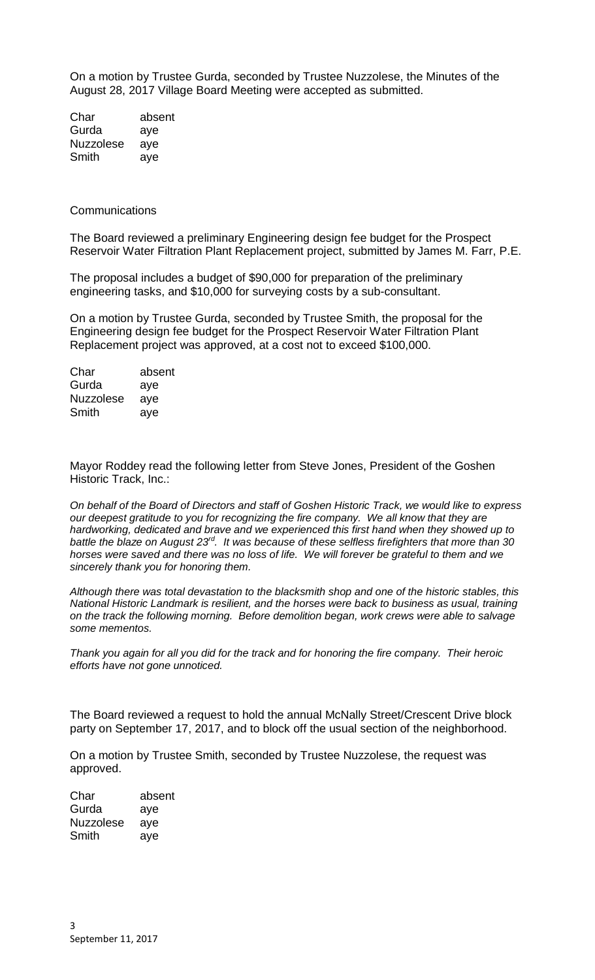On a motion by Trustee Gurda, seconded by Trustee Nuzzolese, the Minutes of the August 28, 2017 Village Board Meeting were accepted as submitted.

Char absent Gurda aye Nuzzolese aye Smith aye

**Communications** 

The Board reviewed a preliminary Engineering design fee budget for the Prospect Reservoir Water Filtration Plant Replacement project, submitted by James M. Farr, P.E.

The proposal includes a budget of \$90,000 for preparation of the preliminary engineering tasks, and \$10,000 for surveying costs by a sub-consultant.

On a motion by Trustee Gurda, seconded by Trustee Smith, the proposal for the Engineering design fee budget for the Prospect Reservoir Water Filtration Plant Replacement project was approved, at a cost not to exceed \$100,000.

| Char             | absent |
|------------------|--------|
| Gurda            | aye    |
| <b>Nuzzolese</b> | aye    |
| Smith            | aye    |

Mayor Roddey read the following letter from Steve Jones, President of the Goshen Historic Track, Inc.:

*On behalf of the Board of Directors and staff of Goshen Historic Track, we would like to express our deepest gratitude to you for recognizing the fire company. We all know that they are hardworking, dedicated and brave and we experienced this first hand when they showed up to battle the blaze on August 23rd. It was because of these selfless firefighters that more than 30 horses were saved and there was no loss of life. We will forever be grateful to them and we sincerely thank you for honoring them.*

*Although there was total devastation to the blacksmith shop and one of the historic stables, this National Historic Landmark is resilient, and the horses were back to business as usual, training on the track the following morning. Before demolition began, work crews were able to salvage some mementos.*

*Thank you again for all you did for the track and for honoring the fire company. Their heroic efforts have not gone unnoticed.*

The Board reviewed a request to hold the annual McNally Street/Crescent Drive block party on September 17, 2017, and to block off the usual section of the neighborhood.

On a motion by Trustee Smith, seconded by Trustee Nuzzolese, the request was approved.

Char absent Gurda aye Nuzzolese aye Smith aye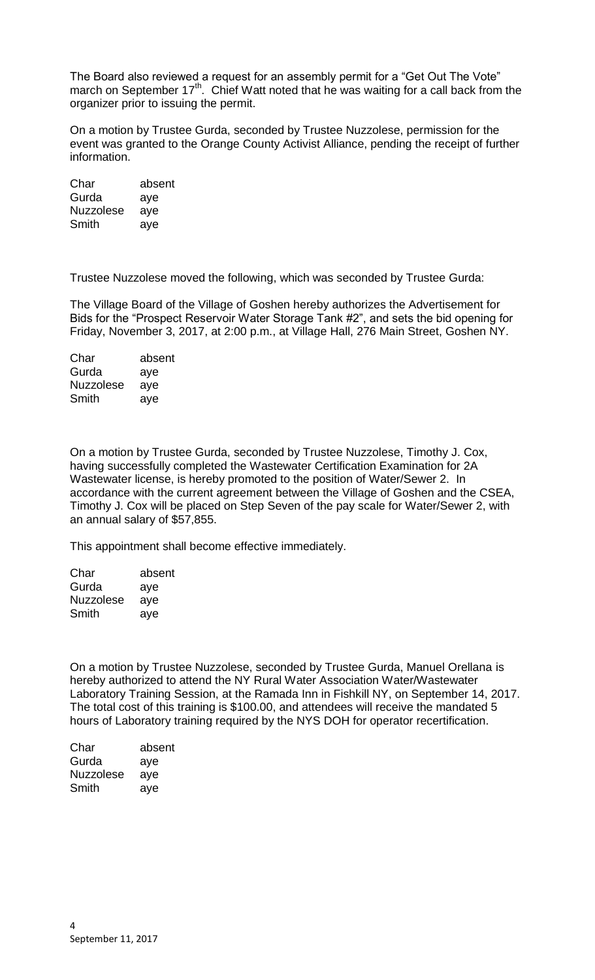The Board also reviewed a request for an assembly permit for a "Get Out The Vote" march on September  $17<sup>th</sup>$ . Chief Watt noted that he was waiting for a call back from the organizer prior to issuing the permit.

On a motion by Trustee Gurda, seconded by Trustee Nuzzolese, permission for the event was granted to the Orange County Activist Alliance, pending the receipt of further information.

| Char             | absent |
|------------------|--------|
| Gurda            | aye    |
| <b>Nuzzolese</b> | aye    |
| Smith            | aye    |

Trustee Nuzzolese moved the following, which was seconded by Trustee Gurda:

The Village Board of the Village of Goshen hereby authorizes the Advertisement for Bids for the "Prospect Reservoir Water Storage Tank #2", and sets the bid opening for Friday, November 3, 2017, at 2:00 p.m., at Village Hall, 276 Main Street, Goshen NY.

| Char             | absent |
|------------------|--------|
| Gurda            | aye    |
| <b>Nuzzolese</b> | aye    |
| Smith            | aye    |

On a motion by Trustee Gurda, seconded by Trustee Nuzzolese, Timothy J. Cox, having successfully completed the Wastewater Certification Examination for 2A Wastewater license, is hereby promoted to the position of Water/Sewer 2. In accordance with the current agreement between the Village of Goshen and the CSEA, Timothy J. Cox will be placed on Step Seven of the pay scale for Water/Sewer 2, with an annual salary of \$57,855.

This appointment shall become effective immediately.

| Char             | absent |
|------------------|--------|
| Gurda            | aye    |
| <b>Nuzzolese</b> | aye    |
| Smith            | ave    |

On a motion by Trustee Nuzzolese, seconded by Trustee Gurda, Manuel Orellana is hereby authorized to attend the NY Rural Water Association Water/Wastewater Laboratory Training Session, at the Ramada Inn in Fishkill NY, on September 14, 2017. The total cost of this training is \$100.00, and attendees will receive the mandated 5 hours of Laboratory training required by the NYS DOH for operator recertification.

| absent |
|--------|
| aye    |
| aye    |
| aye    |
|        |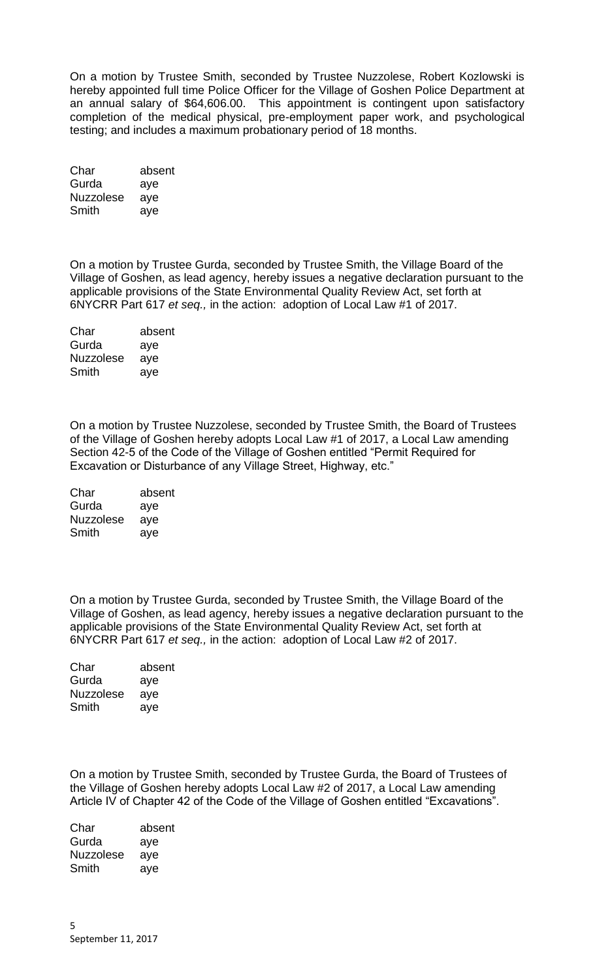On a motion by Trustee Smith, seconded by Trustee Nuzzolese, Robert Kozlowski is hereby appointed full time Police Officer for the Village of Goshen Police Department at an annual salary of \$64,606.00. This appointment is contingent upon satisfactory completion of the medical physical, pre-employment paper work, and psychological testing; and includes a maximum probationary period of 18 months.

| absent |
|--------|
| aye    |
| aye    |
| aye    |
|        |

On a motion by Trustee Gurda, seconded by Trustee Smith, the Village Board of the Village of Goshen, as lead agency, hereby issues a negative declaration pursuant to the applicable provisions of the State Environmental Quality Review Act, set forth at 6NYCRR Part 617 *et seq.,* in the action: adoption of Local Law #1 of 2017.

| Char             | absent |
|------------------|--------|
| Gurda            | aye    |
| <b>Nuzzolese</b> | aye    |
| Smith            | aye    |
|                  |        |

On a motion by Trustee Nuzzolese, seconded by Trustee Smith, the Board of Trustees of the Village of Goshen hereby adopts Local Law #1 of 2017, a Local Law amending Section 42-5 of the Code of the Village of Goshen entitled "Permit Required for Excavation or Disturbance of any Village Street, Highway, etc."

| Char             | absent |
|------------------|--------|
| Gurda            | aye    |
| <b>Nuzzolese</b> | aye    |
| Smith            | aye    |

On a motion by Trustee Gurda, seconded by Trustee Smith, the Village Board of the Village of Goshen, as lead agency, hereby issues a negative declaration pursuant to the applicable provisions of the State Environmental Quality Review Act, set forth at 6NYCRR Part 617 *et seq.,* in the action: adoption of Local Law #2 of 2017.

| Char             | absent |
|------------------|--------|
| Gurda            | aye    |
| <b>Nuzzolese</b> | aye    |
| Smith            | aye    |

On a motion by Trustee Smith, seconded by Trustee Gurda, the Board of Trustees of the Village of Goshen hereby adopts Local Law #2 of 2017, a Local Law amending Article IV of Chapter 42 of the Code of the Village of Goshen entitled "Excavations".

Char absent Gurda aye Nuzzolese aye Smith aye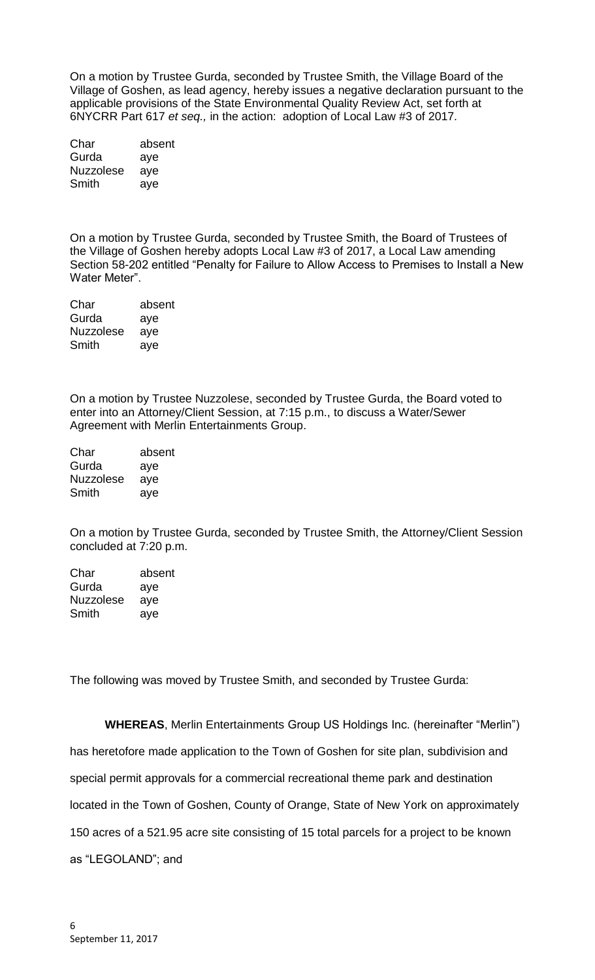On a motion by Trustee Gurda, seconded by Trustee Smith, the Village Board of the Village of Goshen, as lead agency, hereby issues a negative declaration pursuant to the applicable provisions of the State Environmental Quality Review Act, set forth at 6NYCRR Part 617 *et seq.,* in the action: adoption of Local Law #3 of 2017.

| Char             | absent |
|------------------|--------|
| Gurda            | aye    |
| <b>Nuzzolese</b> | aye    |
| Smith            | aye    |

On a motion by Trustee Gurda, seconded by Trustee Smith, the Board of Trustees of the Village of Goshen hereby adopts Local Law #3 of 2017, a Local Law amending Section 58-202 entitled "Penalty for Failure to Allow Access to Premises to Install a New Water Meter".

| Char             | absent |
|------------------|--------|
| Gurda            | aye    |
| <b>Nuzzolese</b> | aye    |
| Smith            | aye    |

On a motion by Trustee Nuzzolese, seconded by Trustee Gurda, the Board voted to enter into an Attorney/Client Session, at 7:15 p.m., to discuss a Water/Sewer Agreement with Merlin Entertainments Group.

| absent |
|--------|
| aye    |
| ave    |
| ave    |
|        |

On a motion by Trustee Gurda, seconded by Trustee Smith, the Attorney/Client Session concluded at 7:20 p.m.

| Char      | absent |
|-----------|--------|
| Gurda     | aye    |
| Nuzzolese | aye    |
| Smith     | ave    |

The following was moved by Trustee Smith, and seconded by Trustee Gurda:

**WHEREAS**, Merlin Entertainments Group US Holdings Inc. (hereinafter "Merlin") has heretofore made application to the Town of Goshen for site plan, subdivision and special permit approvals for a commercial recreational theme park and destination located in the Town of Goshen, County of Orange, State of New York on approximately 150 acres of a 521.95 acre site consisting of 15 total parcels for a project to be known as "LEGOLAND"; and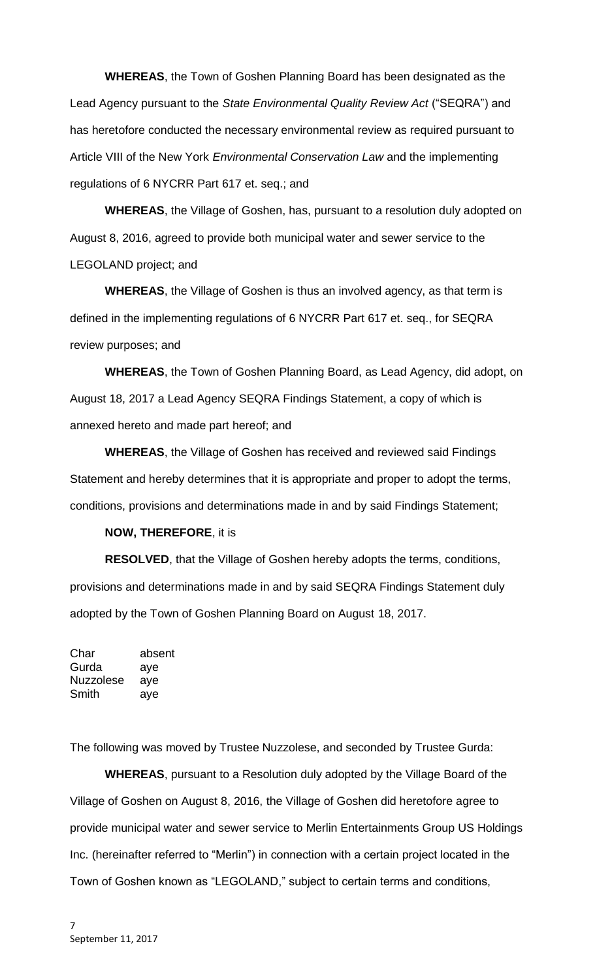**WHEREAS**, the Town of Goshen Planning Board has been designated as the Lead Agency pursuant to the *State Environmental Quality Review Act* ("SEQRA") and has heretofore conducted the necessary environmental review as required pursuant to Article VIII of the New York *Environmental Conservation Law* and the implementing regulations of 6 NYCRR Part 617 et. seq.; and

**WHEREAS**, the Village of Goshen, has, pursuant to a resolution duly adopted on August 8, 2016, agreed to provide both municipal water and sewer service to the LEGOLAND project; and

**WHEREAS**, the Village of Goshen is thus an involved agency, as that term is defined in the implementing regulations of 6 NYCRR Part 617 et. seq., for SEQRA review purposes; and

**WHEREAS**, the Town of Goshen Planning Board, as Lead Agency, did adopt, on August 18, 2017 a Lead Agency SEQRA Findings Statement, a copy of which is annexed hereto and made part hereof; and

**WHEREAS**, the Village of Goshen has received and reviewed said Findings Statement and hereby determines that it is appropriate and proper to adopt the terms, conditions, provisions and determinations made in and by said Findings Statement;

## **NOW, THEREFORE**, it is

**RESOLVED**, that the Village of Goshen hereby adopts the terms, conditions, provisions and determinations made in and by said SEQRA Findings Statement duly adopted by the Town of Goshen Planning Board on August 18, 2017.

Char absent Gurda aye Nuzzolese aye Smith aye

The following was moved by Trustee Nuzzolese, and seconded by Trustee Gurda:

**WHEREAS**, pursuant to a Resolution duly adopted by the Village Board of the Village of Goshen on August 8, 2016, the Village of Goshen did heretofore agree to provide municipal water and sewer service to Merlin Entertainments Group US Holdings Inc. (hereinafter referred to "Merlin") in connection with a certain project located in the Town of Goshen known as "LEGOLAND," subject to certain terms and conditions,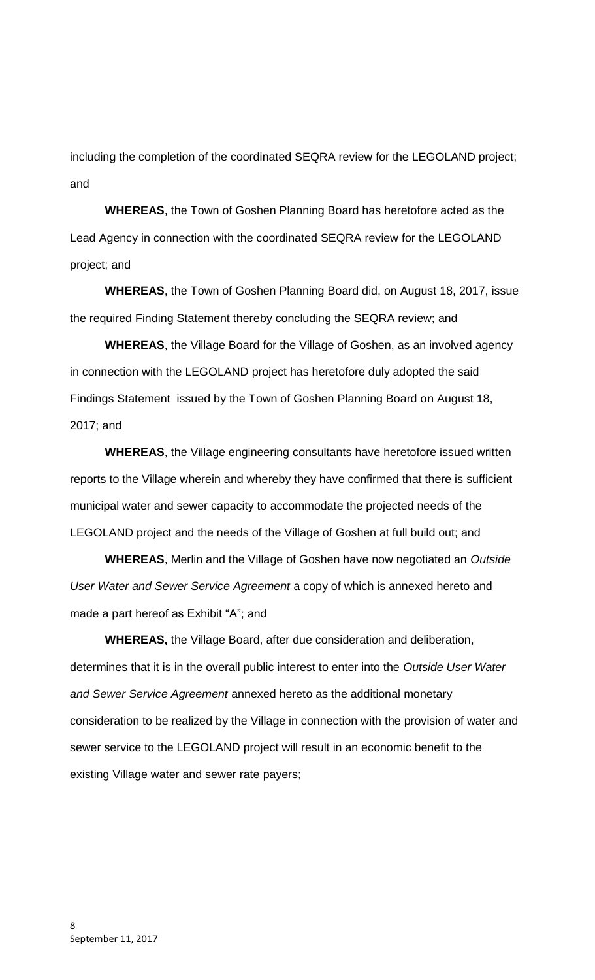including the completion of the coordinated SEQRA review for the LEGOLAND project; and

**WHEREAS**, the Town of Goshen Planning Board has heretofore acted as the Lead Agency in connection with the coordinated SEQRA review for the LEGOLAND project; and

**WHEREAS**, the Town of Goshen Planning Board did, on August 18, 2017, issue the required Finding Statement thereby concluding the SEQRA review; and

**WHEREAS**, the Village Board for the Village of Goshen, as an involved agency in connection with the LEGOLAND project has heretofore duly adopted the said Findings Statement issued by the Town of Goshen Planning Board on August 18, 2017; and

**WHEREAS**, the Village engineering consultants have heretofore issued written reports to the Village wherein and whereby they have confirmed that there is sufficient municipal water and sewer capacity to accommodate the projected needs of the LEGOLAND project and the needs of the Village of Goshen at full build out; and

**WHEREAS**, Merlin and the Village of Goshen have now negotiated an *Outside User Water and Sewer Service Agreement* a copy of which is annexed hereto and made a part hereof as Exhibit "A"; and

**WHEREAS,** the Village Board, after due consideration and deliberation, determines that it is in the overall public interest to enter into the *Outside User Water and Sewer Service Agreement* annexed hereto as the additional monetary consideration to be realized by the Village in connection with the provision of water and sewer service to the LEGOLAND project will result in an economic benefit to the existing Village water and sewer rate payers;